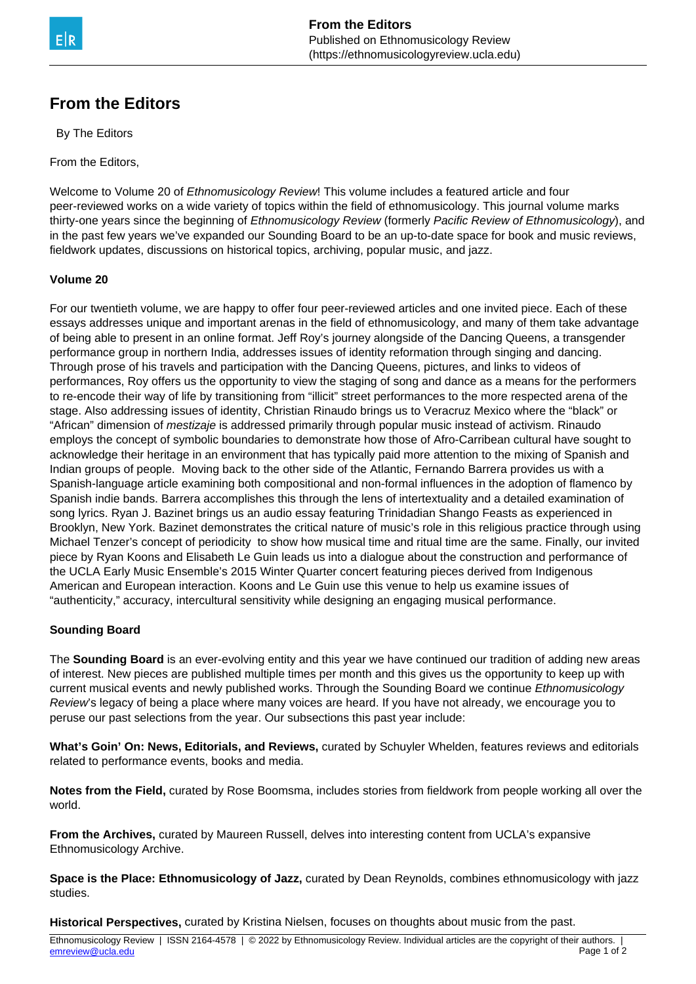## **From the Editors**

By The Editors

From the Editors,

Welcome to Volume 20 of Ethnomusicology Review! This volume includes a featured article and four peer-reviewed works on a wide variety of topics within the field of ethnomusicology. This journal volume marks thirty-one years since the beginning of Ethnomusicology Review (formerly Pacific Review of Ethnomusicology), and in the past few years we've expanded our Sounding Board to be an up-to-date space for book and music reviews, fieldwork updates, discussions on historical topics, archiving, popular music, and jazz.

## **Volume 20**

For our twentieth volume, we are happy to offer four peer-reviewed articles and one invited piece. Each of these essays addresses unique and important arenas in the field of ethnomusicology, and many of them take advantage of being able to present in an online format. Jeff Roy's journey alongside of the Dancing Queens, a transgender performance group in northern India, addresses issues of identity reformation through singing and dancing. Through prose of his travels and participation with the Dancing Queens, pictures, and links to videos of performances, Roy offers us the opportunity to view the staging of song and dance as a means for the performers to re-encode their way of life by transitioning from "illicit" street performances to the more respected arena of the stage. Also addressing issues of identity, Christian Rinaudo brings us to Veracruz Mexico where the "black" or "African" dimension of *mestizaje* is addressed primarily through popular music instead of activism. Rinaudo employs the concept of symbolic boundaries to demonstrate how those of Afro-Carribean cultural have sought to acknowledge their heritage in an environment that has typically paid more attention to the mixing of Spanish and Indian groups of people. Moving back to the other side of the Atlantic, Fernando Barrera provides us with a Spanish-language article examining both compositional and non-formal influences in the adoption of flamenco by Spanish indie bands. Barrera accomplishes this through the lens of intertextuality and a detailed examination of song lyrics. Ryan J. Bazinet brings us an audio essay featuring Trinidadian Shango Feasts as experienced in Brooklyn, New York. Bazinet demonstrates the critical nature of music's role in this religious practice through using Michael Tenzer's concept of periodicity to show how musical time and ritual time are the same. Finally, our invited piece by Ryan Koons and Elisabeth Le Guin leads us into a dialogue about the construction and performance of the UCLA Early Music Ensemble's 2015 Winter Quarter concert featuring pieces derived from Indigenous American and European interaction. Koons and Le Guin use this venue to help us examine issues of "authenticity," accuracy, intercultural sensitivity while designing an engaging musical performance.

## **Sounding Board**

The **Sounding Board** is an ever-evolving entity and this year we have continued our tradition of adding new areas of interest. New pieces are published multiple times per month and this gives us the opportunity to keep up with current musical events and newly published works. Through the Sounding Board we continue *Ethnomusicology* Review's legacy of being a place where many voices are heard. If you have not already, we encourage you to peruse our past selections from the year. Our subsections this past year include:

**What's Goin' On: News, Editorials, and Reviews,** curated by Schuyler Whelden, features reviews and editorials related to performance events, books and media.

**Notes from the Field,** curated by Rose Boomsma, includes stories from fieldwork from people working all over the world.

**From the Archives,** curated by Maureen Russell, delves into interesting content from UCLA's expansive Ethnomusicology Archive.

**Space is the Place: Ethnomusicology of Jazz,** curated by Dean Reynolds, combines ethnomusicology with jazz studies.

**Historical Perspectives,** curated by Kristina Nielsen, focuses on thoughts about music from the past.